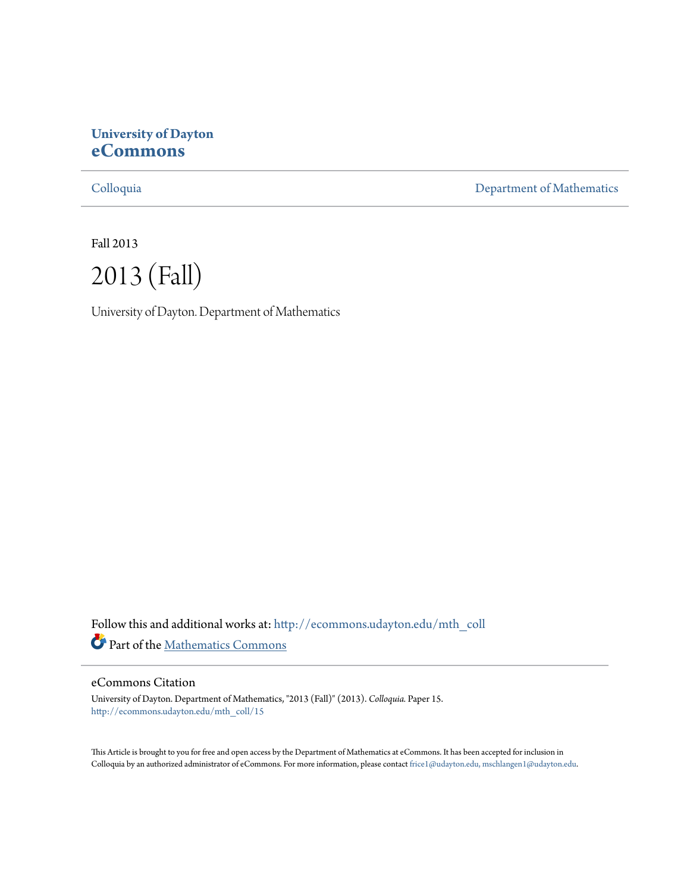# **University of Dayton [eCommons](http://ecommons.udayton.edu?utm_source=ecommons.udayton.edu%2Fmth_coll%2F15&utm_medium=PDF&utm_campaign=PDFCoverPages)**

[Colloquia](http://ecommons.udayton.edu/mth_coll?utm_source=ecommons.udayton.edu%2Fmth_coll%2F15&utm_medium=PDF&utm_campaign=PDFCoverPages) [Department of Mathematics](http://ecommons.udayton.edu/mth?utm_source=ecommons.udayton.edu%2Fmth_coll%2F15&utm_medium=PDF&utm_campaign=PDFCoverPages)

Fall 2013



University of Dayton. Department of Mathematics

Follow this and additional works at: [http://ecommons.udayton.edu/mth\\_coll](http://ecommons.udayton.edu/mth_coll?utm_source=ecommons.udayton.edu%2Fmth_coll%2F15&utm_medium=PDF&utm_campaign=PDFCoverPages) Part of the [Mathematics Commons](http://network.bepress.com/hgg/discipline/174?utm_source=ecommons.udayton.edu%2Fmth_coll%2F15&utm_medium=PDF&utm_campaign=PDFCoverPages)

## eCommons Citation

University of Dayton. Department of Mathematics, "2013 (Fall)" (2013). *Colloquia.* Paper 15. [http://ecommons.udayton.edu/mth\\_coll/15](http://ecommons.udayton.edu/mth_coll/15?utm_source=ecommons.udayton.edu%2Fmth_coll%2F15&utm_medium=PDF&utm_campaign=PDFCoverPages)

This Article is brought to you for free and open access by the Department of Mathematics at eCommons. It has been accepted for inclusion in Colloquia by an authorized administrator of eCommons. For more information, please contact [frice1@udayton.edu, mschlangen1@udayton.edu.](mailto:frice1@udayton.edu,%20mschlangen1@udayton.edu)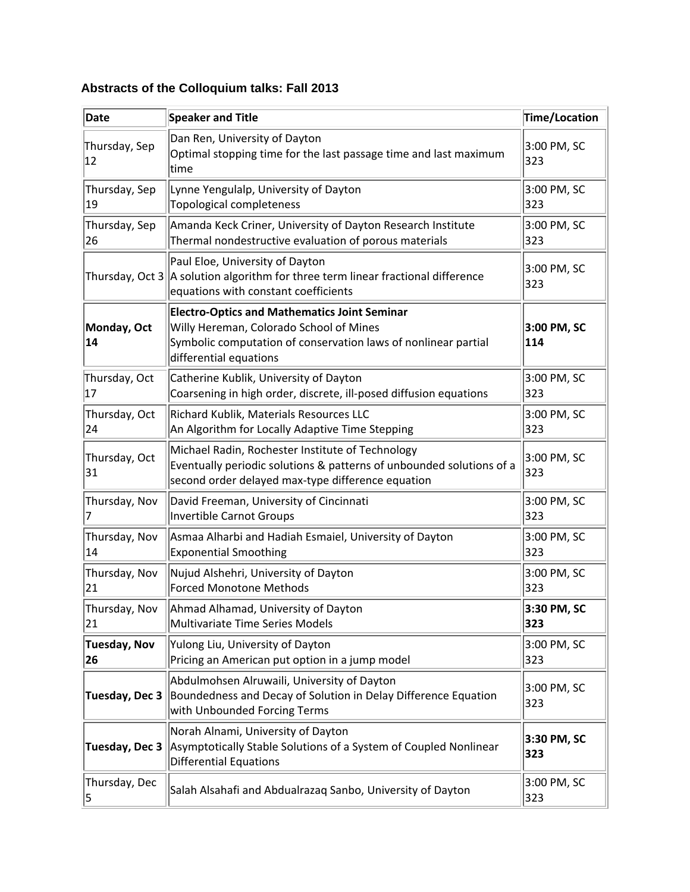# **Abstracts of the Colloquium talks: Fall 2013**

| Date                 | <b>Speaker and Title</b>                                                                                                                                                                   | Time/Location      |
|----------------------|--------------------------------------------------------------------------------------------------------------------------------------------------------------------------------------------|--------------------|
| Thursday, Sep<br>12  | Dan Ren, University of Dayton<br>Optimal stopping time for the last passage time and last maximum<br>time                                                                                  | 3:00 PM, SC<br>323 |
| Thursday, Sep<br>19  | Lynne Yengulalp, University of Dayton<br>Topological completeness                                                                                                                          | 3:00 PM, SC<br>323 |
| Thursday, Sep<br>26  | Amanda Keck Criner, University of Dayton Research Institute<br>Thermal nondestructive evaluation of porous materials                                                                       | 3:00 PM, SC<br>323 |
|                      | Paul Eloe, University of Dayton<br>Thursday, Oct $3$ $\parallel$ a solution algorithm for three term linear fractional difference<br>equations with constant coefficients                  | 3:00 PM, SC<br>323 |
| Monday, Oct<br>14    | <b>Electro-Optics and Mathematics Joint Seminar</b><br>Willy Hereman, Colorado School of Mines<br>Symbolic computation of conservation laws of nonlinear partial<br>differential equations | 3:00 PM, SC<br>114 |
| Thursday, Oct<br>17  | Catherine Kublik, University of Dayton<br>Coarsening in high order, discrete, ill-posed diffusion equations                                                                                | 3:00 PM, SC<br>323 |
| Thursday, Oct<br>24  | Richard Kublik, Materials Resources LLC<br>An Algorithm for Locally Adaptive Time Stepping                                                                                                 | 3:00 PM, SC<br>323 |
| Thursday, Oct<br>31  | Michael Radin, Rochester Institute of Technology<br>Eventually periodic solutions & patterns of unbounded solutions of a<br>second order delayed max-type difference equation              | 3:00 PM, SC<br>323 |
| Thursday, Nov        | David Freeman, University of Cincinnati<br>Invertible Carnot Groups                                                                                                                        | 3:00 PM, SC<br>323 |
| Thursday, Nov<br>14  | Asmaa Alharbi and Hadiah Esmaiel, University of Dayton<br><b>Exponential Smoothing</b>                                                                                                     | 3:00 PM, SC<br>323 |
| Thursday, Nov<br> 21 | Nujud Alshehri, University of Dayton<br><b>Forced Monotone Methods</b>                                                                                                                     | 3:00 PM, SC<br>323 |
| Thursday, Nov<br>21  | Ahmad Alhamad. University of Davton<br>Multivariate Time Series Models                                                                                                                     | 3:30 PM, SC<br>323 |
| Tuesday, Nov<br>26   | Yulong Liu, University of Dayton<br>Pricing an American put option in a jump model                                                                                                         | 3:00 PM, SC<br>323 |
| Tuesday, Dec 3       | Abdulmohsen Alruwaili, University of Dayton<br>Boundedness and Decay of Solution in Delay Difference Equation<br>with Unbounded Forcing Terms                                              | 3:00 PM, SC<br>323 |
| Tuesday, Dec 3       | Norah Alnami, University of Dayton<br>Asymptotically Stable Solutions of a System of Coupled Nonlinear<br><b>Differential Equations</b>                                                    | 3:30 PM, SC<br>323 |
| Thursday, Dec<br>5   | Salah Alsahafi and Abdualrazaq Sanbo, University of Dayton                                                                                                                                 | 3:00 PM, SC<br>323 |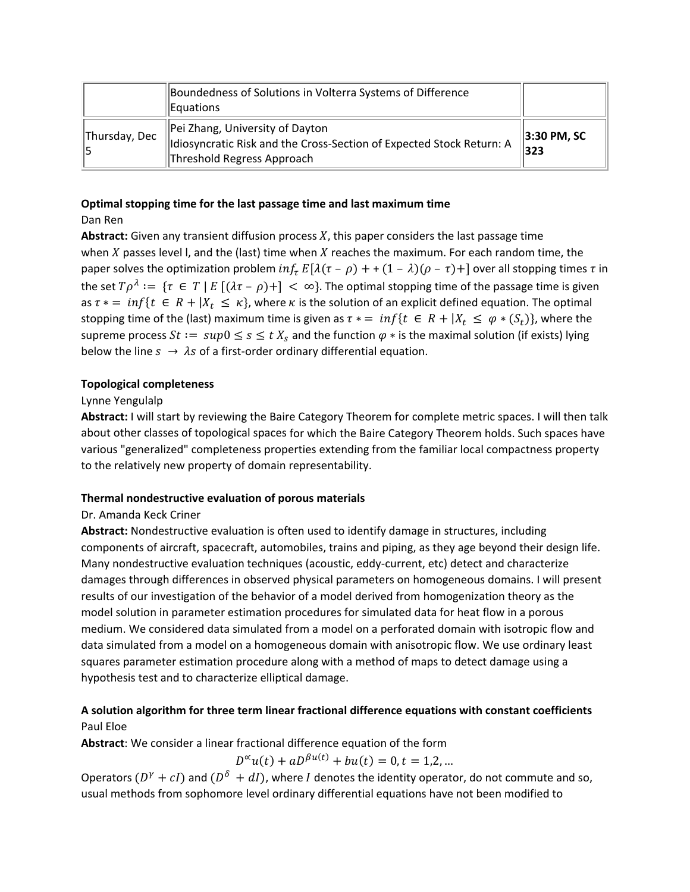|               | Boundedness of Solutions in Volterra Systems of Difference<br>Equations                                                               |                     |
|---------------|---------------------------------------------------------------------------------------------------------------------------------------|---------------------|
| Thursday, Dec | Pei Zhang, University of Dayton<br>Idiosyncratic Risk and the Cross-Section of Expected Stock Return: A<br>Threshold Regress Approach | 3:30 PM, SC<br> 323 |

#### **Optimal stopping time for the last passage time and last maximum time** Dan Ren

Abstract: Given any transient diffusion process X, this paper considers the last passage time when  $X$  passes level I, and the (last) time when  $X$  reaches the maximum. For each random time, the paper solves the optimization problem  $inf_{\tau} E[\lambda(\tau - \rho) + (1 - \lambda)(\rho - \tau) + ]$  over all stopping times  $\tau$  in the set  $T\rho^{\lambda} := \{\tau \in T \mid E[(\lambda \tau - \rho)^+] < \infty\}$ . The optimal stopping time of the passage time is given as  $\tau * = inf\{t \in R + |X_t \leq \kappa\}$ , where  $\kappa$  is the solution of an explicit defined equation. The optimal stopping time of the (last) maximum time is given as  $\tau* = inf\{t \in R + |X_t \leq \varphi * (S_t)\}\)$ , where the supreme process  $St := \sup 0 \le s \le t X_s$  and the function  $\varphi *$  is the maximal solution (if exists) lying below the line  $s \rightarrow \lambda s$  of a first-order ordinary differential equation.

## **Topological completeness**

## Lynne Yengulalp

**Abstract:** I will start by reviewing the Baire Category Theorem for complete metric spaces. I will then talk about other classes of topological spaces for which the Baire Category Theorem holds. Such spaces have various "generalized" completeness properties extending from the familiar local compactness property to the relatively new property of domain representability.

## **Thermal nondestructive evaluation of porous materials**

### Dr. Amanda Keck Criner

**Abstract:** Nondestructive evaluation is often used to identify damage in structures, including components of aircraft, spacecraft, automobiles, trains and piping, as they age beyond their design life. Many nondestructive evaluation techniques (acoustic, eddy‐current, etc) detect and characterize damages through differences in observed physical parameters on homogeneous domains. I will present results of our investigation of the behavior of a model derived from homogenization theory as the model solution in parameter estimation procedures for simulated data for heat flow in a porous medium. We considered data simulated from a model on a perforated domain with isotropic flow and data simulated from a model on a homogeneous domain with anisotropic flow. We use ordinary least squares parameter estimation procedure along with a method of maps to detect damage using a hypothesis test and to characterize elliptical damage.

# **A solution algorithm for three term linear fractional difference equations with constant coefficients** Paul Eloe

**Abstract**: We consider a linear fractional difference equation of the form

 $D^{\infty}u(t) + aD^{\beta u(t)} + bu(t) = 0, t = 1,2,...$ 

Operators  $(D^{\gamma} + cI)$  and  $(D^{\delta} + dI)$ , where *I* denotes the identity operator, do not commute and so, usual methods from sophomore level ordinary differential equations have not been modified to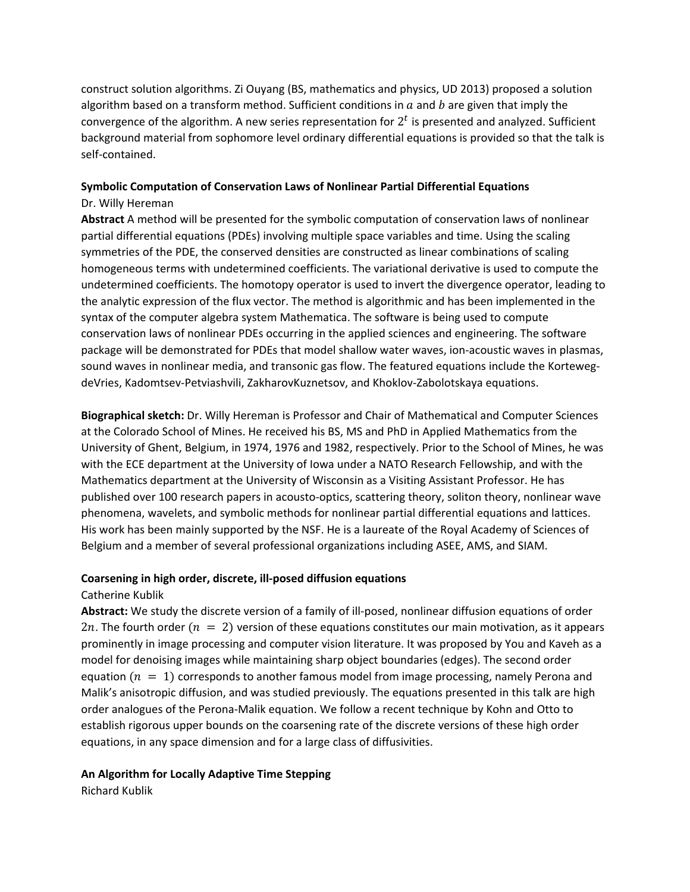construct solution algorithms. Zi Ouyang (BS, mathematics and physics, UD 2013) proposed a solution algorithm based on a transform method. Sufficient conditions in  $a$  and  $b$  are given that imply the convergence of the algorithm. A new series representation for  $2<sup>t</sup>$  is presented and analyzed. Sufficient background material from sophomore level ordinary differential equations is provided so that the talk is self‐contained.

# **Symbolic Computation of Conservation Laws of Nonlinear Partial Differential Equations** Dr. Willy Hereman

**Abstract** A method will be presented for the symbolic computation of conservation laws of nonlinear partial differential equations (PDEs) involving multiple space variables and time. Using the scaling symmetries of the PDE, the conserved densities are constructed as linear combinations of scaling homogeneous terms with undetermined coefficients. The variational derivative is used to compute the undetermined coefficients. The homotopy operator is used to invert the divergence operator, leading to the analytic expression of the flux vector. The method is algorithmic and has been implemented in the syntax of the computer algebra system Mathematica. The software is being used to compute conservation laws of nonlinear PDEs occurring in the applied sciences and engineering. The software package will be demonstrated for PDEs that model shallow water waves, ion‐acoustic waves in plasmas, sound waves in nonlinear media, and transonic gas flow. The featured equations include the KortewegdeVries, Kadomtsev‐Petviashvili, ZakharovKuznetsov, and Khoklov‐Zabolotskaya equations.

**Biographical sketch:** Dr. Willy Hereman is Professor and Chair of Mathematical and Computer Sciences at the Colorado School of Mines. He received his BS, MS and PhD in Applied Mathematics from the University of Ghent, Belgium, in 1974, 1976 and 1982, respectively. Prior to the School of Mines, he was with the ECE department at the University of Iowa under a NATO Research Fellowship, and with the Mathematics department at the University of Wisconsin as a Visiting Assistant Professor. He has published over 100 research papers in acousto‐optics, scattering theory, soliton theory, nonlinear wave phenomena, wavelets, and symbolic methods for nonlinear partial differential equations and lattices. His work has been mainly supported by the NSF. He is a laureate of the Royal Academy of Sciences of Belgium and a member of several professional organizations including ASEE, AMS, and SIAM.

### **Coarsening in high order, discrete, ill‐posed diffusion equations**

## Catherine Kublik

**Abstract:** We study the discrete version of a family of ill‐posed, nonlinear diffusion equations of order 2*n*. The fourth order  $(n = 2)$  version of these equations constitutes our main motivation, as it appears prominently in image processing and computer vision literature. It was proposed by You and Kaveh as a model for denoising images while maintaining sharp object boundaries (edges). The second order equation  $(n = 1)$  corresponds to another famous model from image processing, namely Perona and Malik's anisotropic diffusion, and was studied previously. The equations presented in this talk are high order analogues of the Perona‐Malik equation. We follow a recent technique by Kohn and Otto to establish rigorous upper bounds on the coarsening rate of the discrete versions of these high order equations, in any space dimension and for a large class of diffusivities.

### **An Algorithm for Locally Adaptive Time Stepping**

Richard Kublik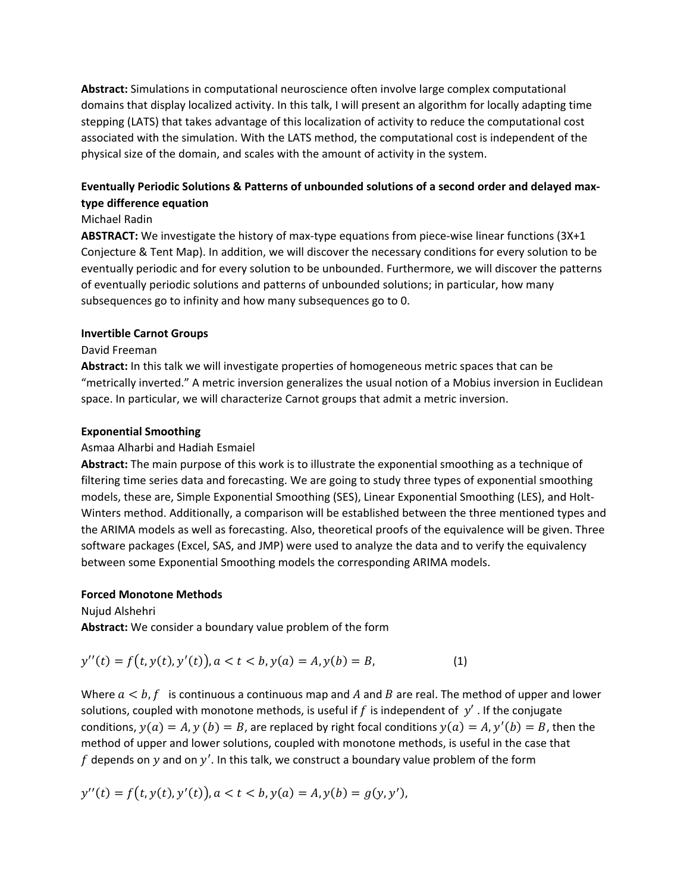**Abstract:** Simulations in computational neuroscience often involve large complex computational domains that display localized activity. In this talk, I will present an algorithm for locally adapting time stepping (LATS) that takes advantage of this localization of activity to reduce the computational cost associated with the simulation. With the LATS method, the computational cost is independent of the physical size of the domain, and scales with the amount of activity in the system.

# **Eventually Periodic Solutions & Patterns of unbounded solutions of a second order and delayed max‐ type difference equation**

## Michael Radin

ABSTRACT: We investigate the history of max-type equations from piece-wise linear functions (3X+1 Conjecture & Tent Map). In addition, we will discover the necessary conditions for every solution to be eventually periodic and for every solution to be unbounded. Furthermore, we will discover the patterns of eventually periodic solutions and patterns of unbounded solutions; in particular, how many subsequences go to infinity and how many subsequences go to 0.

### **Invertible Carnot Groups**

## David Freeman

**Abstract:** In this talk we will investigate properties of homogeneous metric spaces that can be "metrically inverted." A metric inversion generalizes the usual notion of a Mobius inversion in Euclidean space. In particular, we will characterize Carnot groups that admit a metric inversion.

### **Exponential Smoothing**

### Asmaa Alharbi and Hadiah Esmaiel

**Abstract:** The main purpose of this work is to illustrate the exponential smoothing as a technique of filtering time series data and forecasting. We are going to study three types of exponential smoothing models, these are, Simple Exponential Smoothing (SES), Linear Exponential Smoothing (LES), and Holt‐ Winters method. Additionally, a comparison will be established between the three mentioned types and the ARIMA models as well as forecasting. Also, theoretical proofs of the equivalence will be given. Three software packages (Excel, SAS, and JMP) were used to analyze the data and to verify the equivalency between some Exponential Smoothing models the corresponding ARIMA models.

### **Forced Monotone Methods**

#### Nujud Alshehri

**Abstract:** We consider a boundary value problem of the form

$$
y''(t) = f(t, y(t), y'(t)), a < t < b, y(a) = A, y(b) = B,
$$
\n(1)

Where  $a < b$ ,  $f$  is continuous a continuous map and A and B are real. The method of upper and lower solutions, coupled with monotone methods, is useful if f is independent of  $y'$ . If the conjugate conditions,  $y(a) = A$ ,  $y(b) = B$ , are replaced by right focal conditions  $y(a) = A$ ,  $y'(b) = B$ , then the method of upper and lower solutions, coupled with monotone methods, is useful in the case that  $f$  depends on  $y$  and on  $y'$ . In this talk, we construct a boundary value problem of the form

$$
y''(t) = f(t, y(t), y'(t)), a < t < b, y(a) = A, y(b) = g(y, y'),
$$